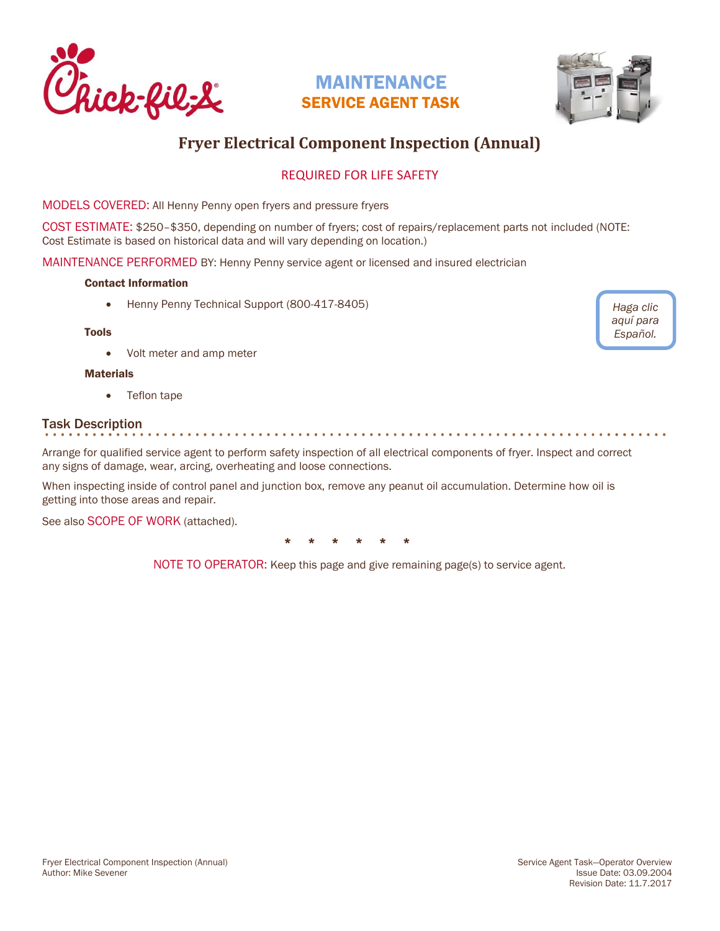



# **Fryer Electrical Component Inspection (Annual)**

## REQUIRED FOR LIFE SAFETY

MODELS COVERED: All Henny Penny open fryers and pressure fryers

COST ESTIMATE: \$250–\$350, depending on number of fryers; cost of repairs/replacement parts not included (NOTE: Cost Estimate is based on historical data and will vary depending on location.)

MAINTENANCE PERFORMED BY: Henny Penny service agent or licensed and insured electrician

### Contact Information

• Henny Penny Technical Support (800-417-8405)

#### Tools

• Volt meter and amp meter

### **Materials**

• Teflon tape

## Task Description

Arrange for qualified service agent to perform safety inspection of all electrical components of fryer. Inspect and correct any signs of damage, wear, arcing, overheating and loose connections.

When inspecting inside of control panel and junction box, remove any peanut oil accumulation. Determine how oil is getting into those areas and repair.

See also SCOPE OF WORK (attached).

\* \* \* \* \* \*

NOTE TO OPERATOR: Keep this page and give remaining page(s) to service agent.

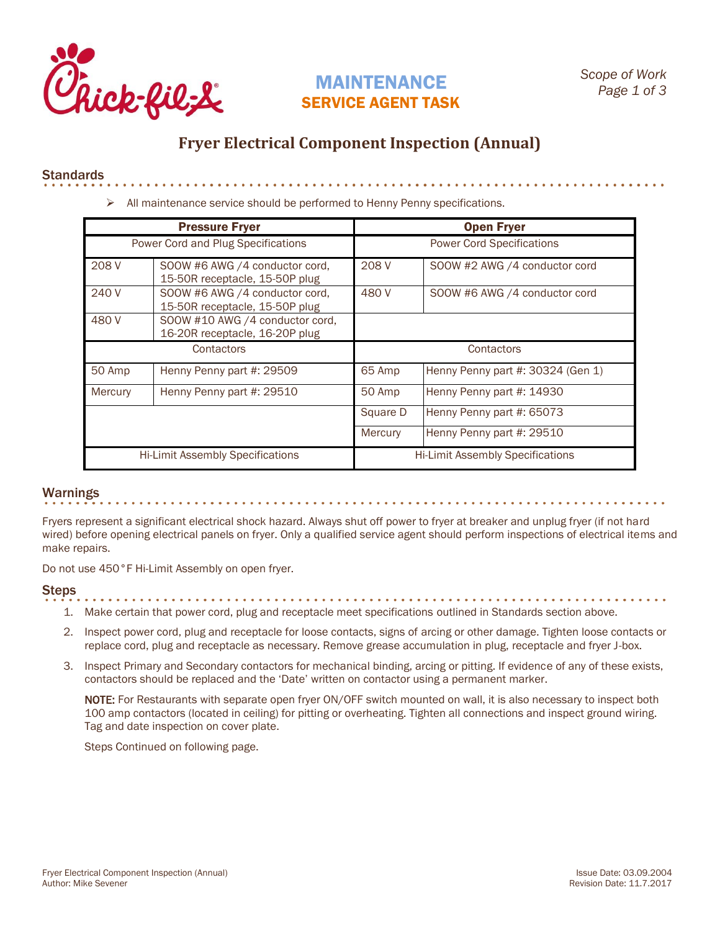

. . . . . . . . . . . . . . . .

## **Fryer Electrical Component Inspection (Annual)**

### **Standards**

➢ All maintenance service should be performed to Henny Penny specifications.

| <b>Pressure Fryer</b>                   |                                                                   | <b>Open Fryer</b>                       |                                   |
|-----------------------------------------|-------------------------------------------------------------------|-----------------------------------------|-----------------------------------|
| Power Cord and Plug Specifications      |                                                                   | <b>Power Cord Specifications</b>        |                                   |
| 208 V                                   | SOOW #6 AWG /4 conductor cord,<br>15-50R receptacle, 15-50P plug  | 208 V                                   | SOOW #2 AWG /4 conductor cord     |
| 240 V                                   | SOOW #6 AWG /4 conductor cord,<br>15-50R receptacle, 15-50P plug  | 480 V                                   | SOOW #6 AWG /4 conductor cord     |
| 480 V                                   | SOOW #10 AWG /4 conductor cord,<br>16-20R receptacle, 16-20P plug |                                         |                                   |
| Contactors                              |                                                                   | Contactors                              |                                   |
| 50 Amp                                  | Henny Penny part #: 29509                                         | 65 Amp                                  | Henny Penny part #: 30324 (Gen 1) |
| Mercury                                 | Henny Penny part #: 29510                                         | 50 Amp                                  | Henny Penny part #: 14930         |
|                                         |                                                                   | Square D                                | Henny Penny part #: 65073         |
|                                         |                                                                   | Mercury                                 | Henny Penny part #: 29510         |
| <b>Hi-Limit Assembly Specifications</b> |                                                                   | <b>Hi-Limit Assembly Specifications</b> |                                   |

### Warnings

Fryers represent a significant electrical shock hazard. Always shut off power to fryer at breaker and unplug fryer (if not hard wired) before opening electrical panels on fryer. Only a qualified service agent should perform inspections of electrical items and make repairs.

Do not use 450°F Hi-Limit Assembly on open fryer.

### Steps

- 1. Make certain that power cord, plug and receptacle meet specifications outlined in Standards section above.
- 2. Inspect power cord, plug and receptacle for loose contacts, signs of arcing or other damage. Tighten loose contacts or replace cord, plug and receptacle as necessary. Remove grease accumulation in plug, receptacle and fryer J-box.
- 3. Inspect Primary and Secondary contactors for mechanical binding, arcing or pitting. If evidence of any of these exists, contactors should be replaced and the 'Date' written on contactor using a permanent marker.

NOTE: For Restaurants with separate open fryer ON/OFF switch mounted on wall, it is also necessary to inspect both 100 amp contactors (located in ceiling) for pitting or overheating. Tighten all connections and inspect ground wiring. Tag and date inspection on cover plate.

Steps Continued on following page.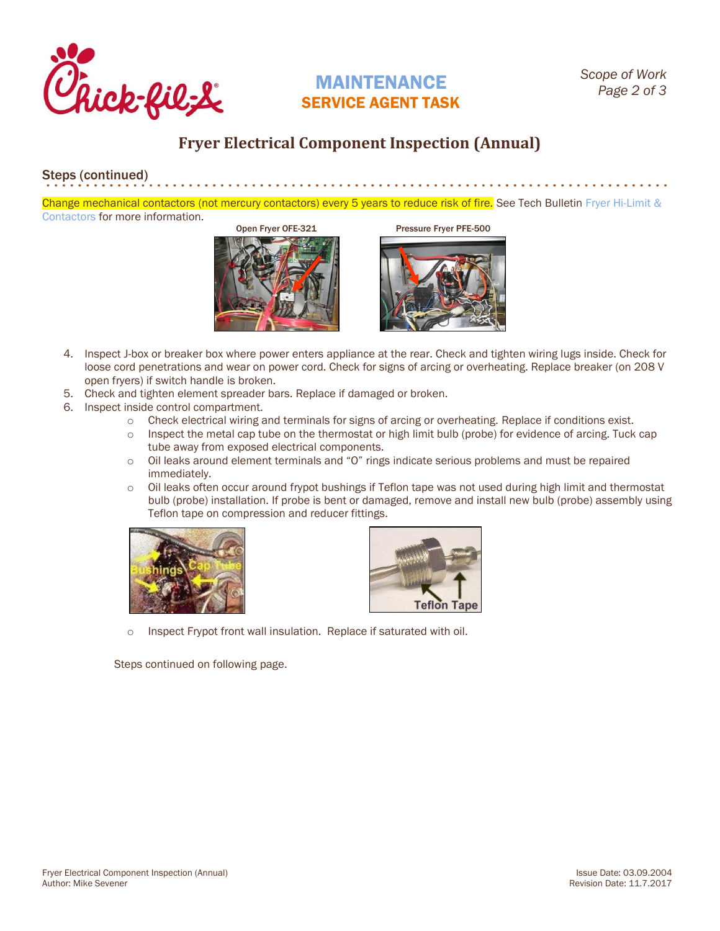

## **Fryer Electrical Component Inspection (Annual)**

## Steps (continued)

Change mechanical contactors (not mercury contactors) every 5 years to reduce risk of fire. See Tech Bulletin Fryer Hi-Limit & [Contactors](http://static.cfacdn.com/fmpublic/CFAPROD_131927) for more information.

Open Fryer OFE-321 Pressure Fryer PFE-500



- 4. Inspect J-box or breaker box where power enters appliance at the rear. Check and tighten wiring lugs inside. Check for loose cord penetrations and wear on power cord. Check for signs of arcing or overheating. Replace breaker (on 208 V open fryers) if switch handle is broken.
- 5. Check and tighten element spreader bars. Replace if damaged or broken.
- 6. Inspect inside control compartment.
	- o Check electrical wiring and terminals for signs of arcing or overheating. Replace if conditions exist.
	- o Inspect the metal cap tube on the thermostat or high limit bulb (probe) for evidence of arcing. Tuck cap tube away from exposed electrical components.
	- o Oil leaks around element terminals and "O" rings indicate serious problems and must be repaired immediately.
	- $\circ$  Oil leaks often occur around frypot bushings if Teflon tape was not used during high limit and thermostat bulb (probe) installation. If probe is bent or damaged, remove and install new bulb (probe) assembly using Teflon tape on compression and reducer fittings.





o Inspect Frypot front wall insulation. Replace if saturated with oil.

Steps continued on following page.